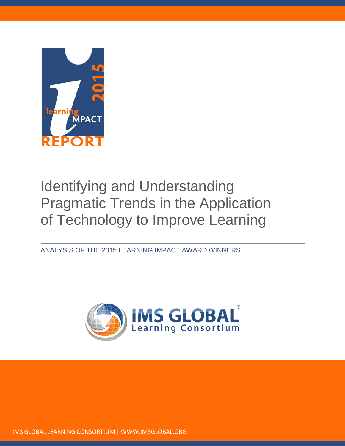

# Identifying and Understanding Pragmatic Trends in the Application of Technology to Improve Learning

ANALYSIS OF THE 2015 LEARNING IMPACT AWARD WINNERS



IMS GLOBAL LEARNING CONSORTIUM | [WWW.IMSGLOBAL.ORG](http://www.imsglobal.org/)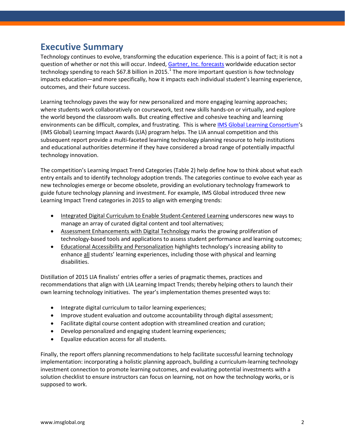### **Executive Summary**

Technology continues to evolve, transforming the education experience. This is a point of fact; it is not a question of whether or not this will occur. Indeed[, Gartner, Inc. forecasts](http://www.gartner.com/newsroom/id/2994417) worldwide education sector technology spending to reach \$67.8 billion in 20[1](#page-29-0)5.<sup>1</sup> The more important question is *how* technology impacts education—and more specifically, how it impacts each individual student's learning experience, outcomes, and their future success.

Learning technology paves the way for new personalized and more engaging learning approaches; where students work collaboratively on coursework, test new skills hands-on or virtually, and explore the world beyond the classroom walls. But creating effective and cohesive teaching and learning environments can be difficult, complex, and frustrating. This is where [IMS Global Learning Consortium'](http://www.imsglobal.org/)s (IMS Global) Learning Impact Awards (LIA) program helps. The LIA annual competition and this subsequent report provide a multi-faceted learning technology planning resource to help institutions and educational authorities determine if they have considered a broad range of potentially impactful technology innovation.

The competition's Learning Impact Trend Categories (Table 2) help define how to think about what each entry entails and to identify technology adoption trends. The categories continue to evolve each year as new technologies emerge or become obsolete, providing an evolutionary technology framework to guide future technology planning and investment. For example, IMS Global introduced three new Learning Impact Trend categories in 2015 to align with emerging trends:

- Integrated Digital Curriculum to Enable Student-Centered Learning underscores new ways to manage an array of curated digital content and tool alternatives;
- Assessment Enhancements with Digital Technology marks the growing proliferation of technology-based tools and applications to assess student performance and learning outcomes;
- Educational Accessibility and Personalization highlights technology's increasing ability to enhance all students' learning experiences, including those with physical and learning disabilities.

Distillation of 2015 LIA finalists' entries offer a series of pragmatic themes, practices and recommendations that align with LIA Learning Impact Trends; thereby helping others to launch their own learning technology initiatives. The year's implementation themes presented ways to:

- Integrate digital curriculum to tailor learning experiences;
- Improve student evaluation and outcome accountability through digital assessment;
- Facilitate digital course content adoption with streamlined creation and curation;
- Develop personalized and engaging student learning experiences;
- Equalize education access for all students.

Finally, the report offers planning recommendations to help facilitate successful learning technology implementation: incorporating a holistic planning approach, building a curriculum-learning technology investment connection to promote learning outcomes, and evaluating potential investments with a solution checklist to ensure instructors can focus on learning, not on how the technology works, or is supposed to work.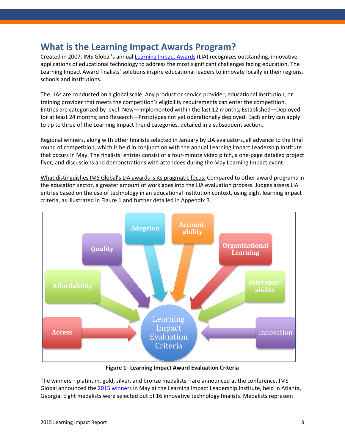### **What is the Learning Impact Awards Program?**

Created in 2007, IMS Global's annual [Learning Impact Awards](http://www.imsglobal.org/lili/awards.html) (LIA) recognizes outstanding, innovative applications of educational technology to address the most significant challenges facing education. The Learning Impact Award finalists' solutions inspire educational leaders to innovate locally in their regions, schools and institutions.

The LIAs are conducted on a global scale. Any product or service provider, educational institution, or training provider that meets the competition's eligibility requirements can enter the competition. Entries are categorized by level: New—Implemented within the last 12 months; Established—Deployed for at least 24 months; and Research—Prototypes not yet operationally deployed. Each entry can apply to up to three of the Learning Impact Trend categories, detailed in a subsequent section.

Regional winners, along with other finalists selected in January by LIA evaluators, all advance to the final round of competition, which is held in conjunction with the annual Learning Impact Leadership Institute that occurs in May. The finalists' entries consist of a four-minute video pitch, a one-page detailed project flyer, and discussions and demonstrations with attendees during the May Learning Impact event.

What distinguishes IMS Global's LIA awards is its pragmatic focus. Compared to other award programs in the education sector, a greater amount of work goes into the LIA evaluation process. Judges assess LIA entries based on the use of technology in an educational institution context, using eight learning impact criteria, as illustrated in Figure 1 and further detailed in Appendix B.



**Figure 1--Learning Impact Award Evaluation Criteria**

The winners—platinum, gold, silver, and bronze medalists—are announced at the conference. IMS Global announced the [2015 winners](http://www.imsglobal.org/pressreleases/pr150511.html) in May at the Learning Impact Leadership Institute, held in Atlanta, Georgia. Eight medalists were selected out of 16 innovative technology finalists. Medalists represent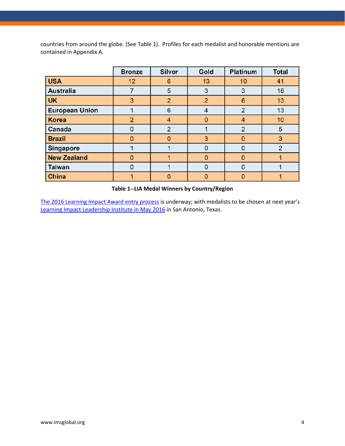countries from around the globe. (See Table 1). Profiles for each medalist and honorable mentions are contained in Appendix A.

|                       | <b>Bronze</b>  | <b>Silver</b>  | Gold | <b>Platinum</b> | <b>Total</b> |
|-----------------------|----------------|----------------|------|-----------------|--------------|
| <b>USA</b>            | 12             | 6              | 13   | 10              | 41           |
| Australia             |                | 5              | 3    | 3               | 18           |
| UK                    | 3              | $\overline{2}$ | 2    | 6               | 13           |
| <b>European Union</b> |                | 6              | 4    | 2               | 13           |
| <b>Korea</b>          | $\overline{2}$ | $\overline{4}$ |      | 4               | 10           |
| Canada                | 0              | $\overline{2}$ |      | $\overline{2}$  | 5            |
| <b>Brazil</b>         | $\Omega$       | $\Omega$       | 3    | $\Omega$        | 3            |
| Singapore             |                |                |      | 0               | 2            |
| <b>New Zealand</b>    | n              |                |      | $\Omega$        |              |
| <b>Taiwan</b>         | 0              |                | O    | 0               |              |
| <b>China</b>          |                | $\Omega$       | O    | $\Omega$        |              |

#### **Table 1--LIA Medal Winners by Country/Region**

[The 2016 Learning Impact Award entry process](http://www.imsglobal.org/eform/submit/learning-impact-awards-2016) i[s](http://www.imsglobal.org/2016-learning-impact-leadership-institute) underway; with medalists to be chosen at next year's [Learning Impact Leadership Institute in May 2016](http://www.imsglobal.org/2016-learning-impact-leadership-institute) in San Antonio, Texas.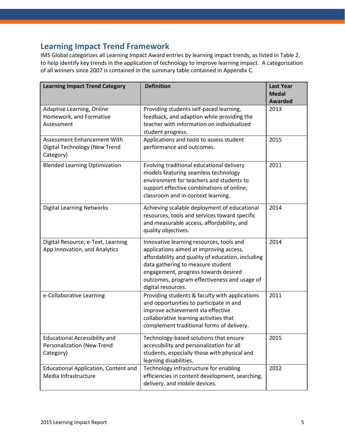### **Learning Impact Trend Framework**

IMS Global categorizes all Learning Impact Award entries by learning impact trends, as listed in Table 2, to help identify key trends in the application of technology to improve learning impact. A categorization of all winners since 2007 is contained in the summary table contained in Appendix C.

| <b>Learning Impact Trend Category</b>                                           | <b>Definition</b>                                                                                                                                                                                                                                                                           | <b>Last Year</b><br><b>Medal</b><br><b>Awarded</b> |
|---------------------------------------------------------------------------------|---------------------------------------------------------------------------------------------------------------------------------------------------------------------------------------------------------------------------------------------------------------------------------------------|----------------------------------------------------|
| Adaptive Learning, Online<br>Homework, and Formative<br>Assessment              | Providing students self-paced learning,<br>feedback, and adaption while providing the<br>teacher with information on individualized<br>student progress.                                                                                                                                    | 2013                                               |
| Assessment Enhancement With<br>Digital Technology (New Trend<br>Category)       | Applications and tools to assess student<br>performance and outcomes.                                                                                                                                                                                                                       | 2015                                               |
| <b>Blended Learning Optimization</b>                                            | Evolving traditional educational delivery<br>models featuring seamless technology<br>environment for teachers and students to<br>support effective combinations of online,<br>classroom and in-context learning.                                                                            | 2011                                               |
| <b>Digital Learning Networks</b>                                                | Achieving scalable deployment of educational<br>resources, tools and services toward specific<br>and measurable access, affordability, and<br>quality objectives.                                                                                                                           | 2014                                               |
| Digital Resource, e-Text, Learning<br>App Innovation, and Analytics             | Innovative learning resources, tools and<br>applications aimed at improving access,<br>affordability and quality of education, including<br>data gathering to measure student<br>engagement, progress towards desired<br>outcomes, program effectiveness and usage of<br>digital resources. | 2014                                               |
| e-Collaborative Learning                                                        | Providing students & faculty with applications<br>and opportunities to participate in and<br>improve achievement via effective<br>collaborative learning activities that<br>complement traditional forms of delivery.                                                                       | 2011                                               |
| <b>Educational Accessibility and</b><br>Personalization (New Trend<br>Category) | Technology-based solutions that ensure<br>accessibility and personalization for all<br>students, especially those with physical and<br>learning disabilities.                                                                                                                               | 2015                                               |
| <b>Educational Application, Content and</b><br>Media Infrastructure             | Technology infrastructure for enabling<br>efficiencies in content development, searching,<br>delivery, and mobile devices.                                                                                                                                                                  | 2012                                               |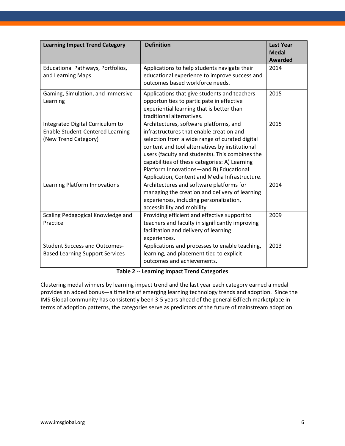| <b>Learning Impact Trend Category</b>                                                               | <b>Definition</b>                                                                                                                                                                                                                                                                                                                                                                       | <b>Last Year</b><br><b>Medal</b><br><b>Awarded</b> |
|-----------------------------------------------------------------------------------------------------|-----------------------------------------------------------------------------------------------------------------------------------------------------------------------------------------------------------------------------------------------------------------------------------------------------------------------------------------------------------------------------------------|----------------------------------------------------|
| Educational Pathways, Portfolios,<br>and Learning Maps                                              | Applications to help students navigate their<br>educational experience to improve success and<br>outcomes based workforce needs.                                                                                                                                                                                                                                                        | 2014                                               |
| Gaming, Simulation, and Immersive<br>Learning                                                       | Applications that give students and teachers<br>opportunities to participate in effective<br>experiential learning that is better than<br>traditional alternatives.                                                                                                                                                                                                                     | 2015                                               |
| Integrated Digital Curriculum to<br><b>Enable Student-Centered Learning</b><br>(New Trend Category) | Architectures, software platforms, and<br>infrastructures that enable creation and<br>selection from a wide range of curated digital<br>content and tool alternatives by institutional<br>users (faculty and students). This combines the<br>capabilities of these categories: A) Learning<br>Platform Innovations-and B) Educational<br>Application, Content and Media Infrastructure. | 2015                                               |
| Learning Platform Innovations                                                                       | Architectures and software platforms for<br>managing the creation and delivery of learning<br>experiences, including personalization,<br>accessibility and mobility                                                                                                                                                                                                                     | 2014                                               |
| Scaling Pedagogical Knowledge and<br>Practice                                                       | Providing efficient and effective support to<br>teachers and faculty in significantly improving<br>facilitation and delivery of learning<br>experiences.                                                                                                                                                                                                                                | 2009                                               |
| <b>Student Success and Outcomes-</b><br><b>Based Learning Support Services</b>                      | Applications and processes to enable teaching,<br>learning, and placement tied to explicit<br>outcomes and achievements.                                                                                                                                                                                                                                                                | 2013                                               |

#### **Table 2 -- Learning Impact Trend Categories**

Clustering medal winners by learning impact trend and the last year each category earned a medal provides an added bonus—a timeline of emerging learning technology trends and adoption. Since the IMS Global community has consistently been 3-5 years ahead of the general EdTech marketplace in terms of adoption patterns, the categories serve as predictors of the future of mainstream adoption.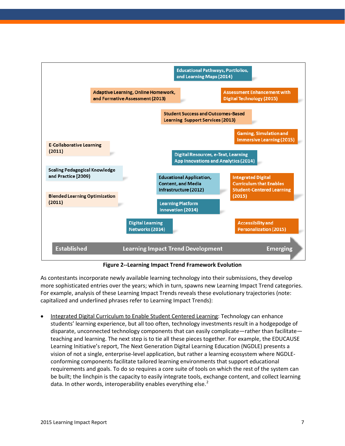

**Figure 2--Learning Impact Trend Framework Evolution**

As contestants incorporate newly available learning technology into their submissions, they develop more sophisticated entries over the years; which in turn, spawns new Learning Impact Trend categories. For example, analysis of these Learning Impact Trends reveals these evolutionary trajectories (note: capitalized and underlined phrases refer to Learning Impact Trends):

• Integrated Digital Curriculum to Enable Student Centered Learning: Technology can enhance students' learning experience, but all too often, technology investments result in a hodgepodge of disparate, unconnected technology components that can easily complicate—rather than facilitate teaching and learning. The next step is to tie all these pieces together. For example, the EDUCAUSE Learning Initiative's report, The Next Generation Digital Learning Education (NGDLE) presents a vision of not a single, enterprise-level application, but rather a learning ecosystem where NGDLEconforming components facilitate tailored learning environments that support educational requirements and goals. To do so requires a core suite of tools on which the rest of the system can be built; the linchpin is the capacity to easily integrate tools, exchange content, and collect learning data. In other words, interoperability enables everything else. $<sup>2</sup>$  $<sup>2</sup>$  $<sup>2</sup>$ </sup>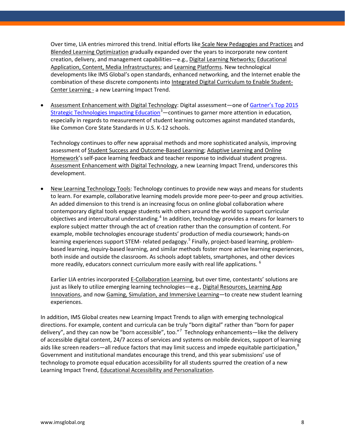Over time, LIA entries mirrored this trend. Initial efforts like Scale New Pedagogies and Practices and Blended Learning Optimization gradually expanded over the years to incorporate new content creation, delivery, and management capabilities—e.g., Digital Learning Networks; Educational Application, Content, Media Infrastructures; and Learning Platforms. New technological developments like IMS Global's open standards, enhanced networking, and the Internet enable the combination of these discrete components into Integrated Digital Curriculum to Enable Student-Center Learning - a new Learning Impact Trend.

• Assessment Enhancement with Digital Technology: Digital assessment—one o[f Gartner's Top 2015](http://www.gartner.com/newsroom/id/2994417)  [Strategic Technologies Impacting Education](http://www.gartner.com/newsroom/id/2994417)<sup>[3](#page-30-0)</sup> — continues to garner more attention in education, especially in regards to measurement of student learning outcomes against mandated standards, like Common Core State Standards in U.S. K-12 schools.

Technology continues to offer new appraisal methods and more sophisticated analysis, improving assessment of Student Success and Outcome-Based Learning; Adaptive Learning and Online Homework's self-pace learning feedback and teacher response to individual student progress. Assessment Enhancement with Digital Technology, a new Learning Impact Trend, underscores this development.

• New Learning Technology Tools: Technology continues to provide new ways and means for students to learn. For example, collaborative learning models provide more peer-to-peer and group activities. An added dimension to this trend is an increasing focus on online global collaboration where contemporary digital tools engage students with others around the world to support curricular objectives and intercultural understanding.<sup>[4](#page-30-1)</sup> In addition, technology provides a means for learners to explore subject matter through the act of creation rather than the consumption of content. For example, mobile technologies encourage students' production of media coursework; hands-on learning experiences support STEM- related pedagogy.<sup>[5](#page-30-2)</sup> Finally, project-based learning, problembased learning, inquiry-based learning, and similar methods foster more active learning experiences, both inside and outside the classroom. As schools adopt tablets, smartphones, and other devices more readily, educators connect curriculum more easily with real life applications.  $6$ 

Earlier LIA entries incorporated E-Collaboration Learning, but over time, contestants' solutions are just as likely to utilize emerging learning technologies—e.g., Digital Resources, Learning App Innovations, and now Gaming, Simulation, and Immersive Learning—to create new student learning experiences.

In addition, IMS Global creates new Learning Impact Trends to align with emerging technological directions. For example, content and curricula can be truly "born digital" rather than "born for paper delivery", and they can now be "born accessible", too."<sup>[7](#page-30-4)</sup> Technology enhancements—like the delivery of accessible digital content, 24/7 access of services and systems on mobile devices, support of learning aids like screen readers—all reduce factors that may limit success and impede equitable participation, $8$ Government and institutional mandates encourage this trend, and this year submissions' use of technology to promote equal education accessibility for all students spurred the creation of a new Learning Impact Trend, Educational Accessibility and Personalization.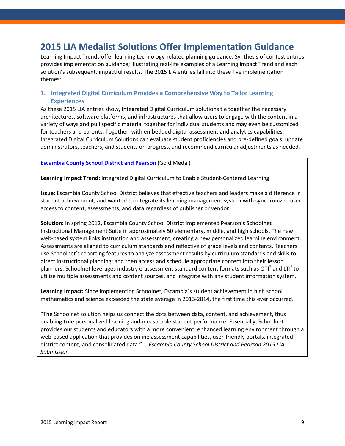### **2015 LIA Medalist Solutions Offer Implementation Guidance**

Learning Impact Trends offer learning technology-related planning guidance. Synthesis of contest entries provides implementation guidance; illustrating real-life examples of a Learning Impact Trend and each solution's subsequent, impactful results. The 2015 LIA entries fall into these five implementation themes:

#### **1. Integrated Digital Curriculum Provides a Comprehensive Way to Tailor Learning Experiences**

As these 2015 LIA entries show, Integrated Digital Curriculum solutions tie together the necessary architectures, software platforms, and infrastructures that allow users to engage with the content in a variety of ways and pull specific material together for individual students and may even be customized for teachers and parents. Together, with embedded digital assessment and analytics capabilities, Integrated Digital Curriculum Solutions can evaluate student proficiencies and pre-defined goals, update administrators, teachers, and students on progress, and recommend curricular adjustments as needed.

**[Escambia County School District and Pearson](https://www.youtube.com/watch?v=k9W-HSyBkvs&feature=youtu.be)** (Gold Medal)

**Learning Impact Trend:** Integrated Digital Curriculum to Enable Student-Centered Learning

**Issue:** Escambia County School District believes that effective teachers and leaders make a difference in student achievement, and wanted to integrate its learning management system with synchronized user access to content, assessments, and data regardless of publisher or vendor.

**Solution:** In spring 2012, Escambia County School District implemented Pearson's Schoolnet Instructional Management Suite in approximately 50 elementary, middle, and high schools. The new web-based system links instruction and assessment, creating a new personalized learning environment. Assessments are aligned to curriculum standards and reflective of grade levels and contents. Teachers' use Schoolnet's reporting features to analyze assessment results by curriculum standards and skills to direct instructional planning; and then access and schedule appropriate content into their lesson planners. Schoolnet leverages industry e-assessment standard content formats such as QTI $^{\degree}$  and LTI $^{\degree}$ to utilize multiple assessments and content sources, and integrate with any student information system.

**Learning Impact:** Since implementing Schoolnet, Escambia's student achievement in high school mathematics and science exceeded the state average in 2013-2014, the first time this ever occurred.

"The Schoolnet solution helps us connect the dots between data, content, and achievement, thus enabling true personalized learning and measurable student performance. Essentially, Schoolnet provides our students and educators with a more convenient, enhanced learning environment through a web-based application that provides online assessment capabilities, user-friendly portals, integrated district content, and consolidated data." -- *Escambia County School District and Pearson 2015 LIA Submission*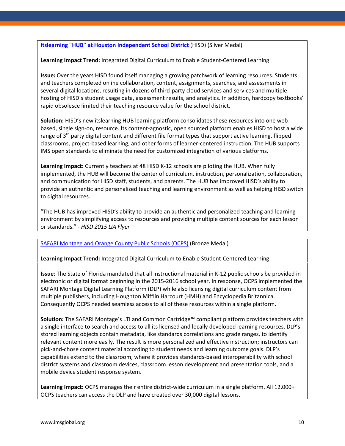#### **[Itslearning "HUB" at Houston Independent School District](https://vimeo.com/121933666)** (HISD) (Silver Medal)

**Learning Impact Trend:** Integrated Digital Curriculum to Enable Student-Centered Learning

**Issue:** Over the years HISD found itself managing a growing patchwork of learning resources. Students and teachers completed online collaboration, content, assignments, searches, and assessments in several digital locations, resulting in dozens of third-party cloud services and services and multiple hosting of HISD's student usage data, assessment results, and analytics. In addition, hardcopy textbooks' rapid obsolesce limited their teaching resource value for the school district.

**Solution:** HISD's new itslearning HUB learning platform consolidates these resources into one webbased, single sign-on, resource. Its content-agnostic, open sourced platform enables HISD to host a wide range of  $3^{rd}$  party digital content and different file format types that support active learning, flipped classrooms, project-based learning, and other forms of learner-centered instruction. The HUB supports IMS open standards to eliminate the need for customized integration of various platforms.

**Learning Impact:** Currently teachers at 48 HISD K-12 schools are piloting the HUB. When fully implemented, the HUB will become the center of curriculum, instruction, personalization, collaboration, and communication for HISD staff, students, and parents. The HUB has improved HISD's ability to provide an authentic and personalized teaching and learning environment as well as helping HISD switch to digital resources.

"The HUB has improved HISD's ability to provide an authentic and personalized teaching and learning environment by simplifying access to resources and providing multiple content sources for each lesson or standards." - *HISD 2015 LIA Flyer*

#### [SAFARI Montage and Orange County Public Schools \(OCPS\)](https://www.youtube.com/watch?v=T6dhTEyXqdY&feature=youtu.be) (Bronze Medal)

**Learning Impact Trend:** Integrated Digital Curriculum to Enable Student-Centered Learning

**Issue**: The State of Florida mandated that all instructional material in K-12 public schools be provided in electronic or digital format beginning in the 2015-2016 school year. In response, OCPS implemented the SAFARI Montage Digital Learning Platform (DLP) while also licensing digital curriculum content from multiple publishers, including Houghton Mifflin Harcourt (HMH) and Encyclopedia Britannica. Consequently OCPS needed seamless access to all of these resources within a single platform.

**Solution:** The SAFARI Montage's LTI and Common Cartridge™ compliant platform provides teachers with a single interface to search and access to all its licensed and locally developed learning resources. DLP's stored learning objects contain metadata, like standards correlations and grade ranges, to identify relevant content more easily. The result is more personalized and effective instruction; instructors can pick-and-chose content material according to student needs and learning outcome goals. DLP's capabilities extend to the classroom, where it provides standards-based interoperability with school district systems and classroom devices, classroom lesson development and presentation tools, and a mobile device student response system.

**Learning Impact:** OCPS manages their entire district-wide curriculum in a single platform. All 12,000+ OCPS teachers can access the DLP and have created over 30,000 digital lessons.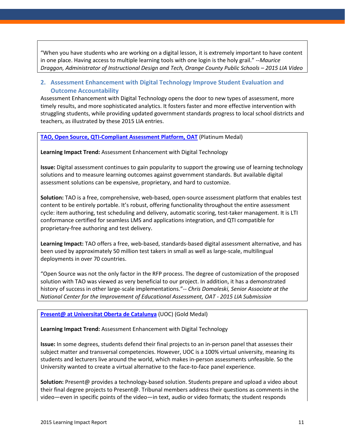"When you have students who are working on a digital lesson, it is extremely important to have content in one place. Having access to multiple learning tools with one login is the holy grail." --*Maurice Draggon, Administrator of Instructional Design and Tech, Orange County Public Schools – 2015 LIA Video*

#### **2. Assessment Enhancement with Digital Technology Improve Student Evaluation and Outcome Accountability**

Assessment Enhancement with Digital Technology opens the door to new types of assessment, more timely results, and more sophisticated analytics. It fosters faster and more effective intervention with struggling students, while providing updated government standards progress to local school districts and teachers, as illustrated by these 2015 LIA entries.

**[TAO, Open Source, QTI-Compliant Assessment Platform, OAT](https://www.youtube.com/watch?v=K0jq27SQzWw&feature=youtu.be)** (Platinum Medal)

**Learning Impact Trend:** Assessment Enhancement with Digital Technology

**Issue:** Digital assessment continues to gain popularity to support the growing use of learning technology solutions and to measure learning outcomes against government standards. But available digital assessment solutions can be expensive, proprietary, and hard to customize.

**Solution:** TAO is a free, comprehensive, web-based, open-source assessment platform that enables test content to be entirely portable. It's robust, offering functionality throughout the entire assessment cycle: item authoring, test scheduling and delivery, automatic scoring, test-taker management. It is LTI conformance certified for seamless LMS and applications integration, and QTI compatible for proprietary-free authoring and test delivery.

**Learning Impact:** TAO offers a free, web-based, standards-based digital assessment alternative, and has been used by approximately 50 million test takers in small as well as large-scale, multilingual deployments in over 70 countries.

"Open Source was not the only factor in the RFP process. The degree of customization of the proposed solution with TAO was viewed as very beneficial to our project. In addition, it has a demonstrated history of success in other large-scale implementations."-- *Chris Domaleski, Senior Associate at the National Center for the Improvement of Educational Assessment, OAT - 2015 LIA Submission*

#### **[Present@ at Universitat Oberta de Catalunya](https://www.youtube.com/watch?v=gAaP9jqfciM&feature=youtu.be)** (UOC) (Gold Medal)

**Learning Impact Trend:** Assessment Enhancement with Digital Technology

**Issue:** In some degrees, students defend their final projects to an in-person panel that assesses their subject matter and transversal competencies. However, UOC is a 100% virtual university, meaning its students and lecturers live around the world, which makes in-person assessments unfeasible. So the University wanted to create a virtual alternative to the face-to-face panel experience.

**Solution:** Present@ provides a technology-based solution. Students prepare and upload a video about their final degree projects to Present@. Tribunal members address their questions as comments in the video—even in specific points of the video—in text, audio or video formats; the student responds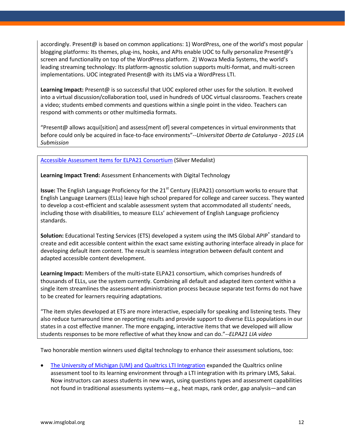accordingly. Present@ is based on common applications: 1) WordPress, one of the world's most popular blogging platforms: Its themes, plug-ins, hooks, and APIs enable UOC to fully personalize Present@'s screen and functionality on top of the WordPress platform. 2) Wowza Media Systems, the world's leading streaming technology: Its platform-agnostic solution supports multi-format, and multi-screen implementations. UOC integrated Present@ with its LMS via a WordPress LTI.

**Learning Impact:** Present@ is so successful that UOC explored other uses for the solution. It evolved into a virtual discussion/collaboration tool, used in hundreds of UOC virtual classrooms. Teachers create a video; students embed comments and questions within a single point in the video. Teachers can respond with comments or other multimedia formats.

"Present@ allows acqui[sition] and assess[ment of] several competences in virtual environments that before could only be acquired in face-to-face environments"--*Universitat Oberta de Catalunya - 2015 LIA Submission*

#### [Accessible Assessment Items for ELPA21 Consortium](https://www.youtube.com/watch?v=gntVuFPnl-8&feature=youtu.be) (Silver Medalist)

**Learning Impact Trend:** Assessment Enhancements with Digital Technology

**Issue:** The English Language Proficiency for the 21<sup>st</sup> Century (ELPA21) consortium works to ensure that English Language Learners (ELLs) leave high school prepared for college and career success. They wanted to develop a cost-efficient and scalable assessment system that accommodated all students' needs, including those with disabilities, to measure ELLs' achievement of English Language proficiency standards.

**Solution:** Educational Testing Services (ETS) developed a system using the IMS Global APIP<sup>®</sup> standard to create and edit accessible content within the exact same existing authoring interface already in place for developing default item content. The result is seamless integration between default content and adapted accessible content development.

**Learning Impact:** Members of the multi-state ELPA21 consortium, which comprises hundreds of thousands of ELLs, use the system currently. Combining all default and adapted item content within a single item streamlines the assessment administration process because separate test forms do not have to be created for learners requiring adaptations.

"The item styles developed at ETS are more interactive, especially for speaking and listening tests. They also reduce turnaround time on reporting results and provide support to diverse ELLs populations in our states in a cost effective manner. The more engaging, interactive items that we developed will allow students responses to be more reflective of what they know and can do."--*ELPA21 LIA video*

Two honorable mention winners used digital technology to enhance their assessment solutions, too:

• [The University of Michigan \(UM\) and Qualtrics LTI Integration](https://www.youtube.com/watch?v=xDmE2YM9_Yo&feature=youtu.be) expanded the Qualtrics online assessment tool to its learning environment through a LTI integration with its primary LMS, Sakai. Now instructors can assess students in new ways, using questions types and assessment capabilities not found in traditional assessments systems—e.g., heat maps, rank order, gap analysis—and can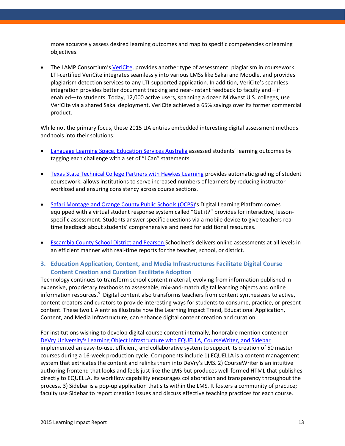more accurately assess desired learning outcomes and map to specific competencies or learning objectives.

• The LAMP Consortium'[s VeriCite,](https://www.youtube.com/watch?v=Hh4mSVXERMQ&feature=youtu.be) provides another type of assessment: plagiarism in coursework. LTI-certified VeriCite integrates seamlessly into various LMSs like Sakai and Moodle, and provides plagiarism detection services to any LTI-supported application. In addition, VeriCite's seamless integration provides better document tracking and near-instant feedback to faculty and—if enabled—to students. Today, 12,000 active users, spanning a dozen Midwest U.S. colleges, use VeriCite via a shared Sakai deployment. VeriCite achieved a 65% savings over its former commercial product.

While not the primary focus, these 2015 LIA entries embedded interesting digital assessment methods and tools into their solutions:

- [Language Learning Space, Education Services Australia](https://www.youtube.com/watch?v=35Fuz9G_GdY&feature=youtu.be) assessed students' learning outcomes by tagging each challenge with a set of "I Can" statements.
- [Texas State Technical College Partners with Hawkes Learning](http://link.brightcove.com/services/player/bcpid1799374646001?bckey=AQ~~,AAAAE2sH_-k~,vce9mL8StXpfr6m6HDn5cLekxP_ErjRA&bctid=4119858042001) provides automatic grading of student coursework, allows institutions to serve increased numbers of learners by reducing instructor workload and ensuring consistency across course sections.
- [Safari Montage and Orange County Public Schools \(OCPS\)'](https://www.youtube.com/watch?v=T6dhTEyXqdY&feature=youtu.be)s Digital Learning Platform comes equipped with a virtual student response system called "Get it?" provides for interactive, lessonspecific assessment. Students answer specific questions via a mobile device to give teachers realtime feedback about students' comprehensive and need for additional resources.
- [Escambia County School District and Pearson](https://www.youtube.com/watch?v=k9W-HSyBkvs&feature=youtu.be) Schoolnet's delivers online assessments at all levels in an efficient manner with real-time reports for the teacher, school, or district.

#### **3. Education Application, Content, and Media Infrastructures Facilitate Digital Course Content Creation and Curation Facilitate Adoption**

Technology continues to transform school content material, evolving from information published in expensive, proprietary textbooks to assessable, mix-and-match digital learning objects and online information resources.<sup>[9](#page-30-6)</sup> Digital content also transforms teachers from content synthesizers to active, content creators and curators to provide interesting ways for students to consume, practice, or present content. These two LIA entries illustrate how the Learning Impact Trend, Educational Application, Content, and Media Infrastructure, can enhance digital content creation and curation.

For institutions wishing to develop digital course content internally, honorable mention contender [DeVry University's Learning Object Infrastructure with EQUELLA, CourseWriter, and Sidebar](https://www.youtube.com/watch?v=hdV1fJik5Uo&feature=youtu.be&list=PLysC4Zd9-FmCLrpNW4dP3RhovGRRpPm95) implemented an easy-to-use, efficient, and collaborative system to support its creation of 50 master courses during a 16-week production cycle. Components include 1) EQUELLA is a content management system that extricates the content and relinks them into DeVry's LMS. 2) CourseWriter is an intuitive authoring frontend that looks and feels just like the LMS but produces well-formed HTML that publishes directly to EQUELLA. Its workflow capability encourages collaboration and transparency throughout the process. 3) Sidebar is a pop-up application that sits within the LMS. It fosters a community of practice; faculty use Sidebar to report creation issues and discuss effective teaching practices for each course.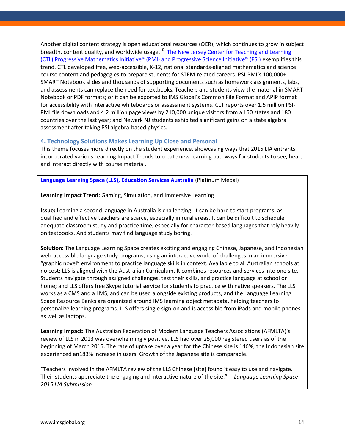Another digital content strategy is open educational resources (OER), which continues to grow in subject breadth, content quality, and worldwide usage.<sup>[10](#page-30-7)</sup> The New Jersey Center for Teaching and Learning [\(CTL\) Progressive Mathematics Initiative® \(PMI\) and Progressive Science Initiative® \(PSI\)](https://www.youtube.com/watch?v=LyVsJ_fz03U&feature=youtu.be) exemplifies this trend. CTL developed free, web-accessible, K-12, national standards-aligned mathematics and science course content and pedagogies to prepare students for STEM-related careers. PSI-PMI's 100,000+ SMART Notebook slides and thousands of supporting documents such as homework assignments, labs, and assessments can replace the need for textbooks. Teachers and students view the material in SMART Notebook or PDF formats; or it can be exported to IMS Global's Common File Format and APIP format for accessibility with interactive whiteboards or assessment systems. CLT reports over 1.5 million PSI-PMI file downloads and 4.2 million page views by 210,000 unique visitors from all 50 states and 180 countries over the last year; and Newark NJ students exhibited significant gains on a state algebra assessment after taking PSI algebra-based physics.

#### **4. Technology Solutions Makes Learning Up Close and Personal**

This theme focuses more directly on the student experience, showcasing ways that 2015 LIA entrants incorporated various Learning Impact Trends to create new learning pathways for students to see, hear, and interact directly with course material.

#### **[Language Learning Space \(LLS\), Education Services Australia](https://www.youtube.com/watch?v=35Fuz9G_GdY&feature=youtu.be)** (Platinum Medal)

**Learning Impact Trend:** Gaming, Simulation, and Immersive Learning

**Issue:** Learning a second language in Australia is challenging. It can be hard to start programs, as qualified and effective teachers are scarce, especially in rural areas. It can be difficult to schedule adequate classroom study and practice time, especially for character-based languages that rely heavily on textbooks. And students may find language study boring.

**Solution:** The Language Learning Space creates exciting and engaging Chinese, Japanese, and Indonesian web-accessible language study programs, using an interactive world of challenges in an immersive "graphic novel" environment to practice language skills in context. Available to all Australian schools at no cost; LLS is aligned with the Australian Curriculum. It combines resources and services into one site. Students navigate through assigned challenges, test their skills, and practice language at school or home; and LLS offers free Skype tutorial service for students to practice with native speakers. The LLS works as a CMS and a LMS, and can be used alongside existing products, and the Language Learning Space Resource Banks are organized around IMS learning object metadata, helping teachers to personalize learning programs. LLS offers single sign-on and is accessible from iPads and mobile phones as well as laptops.

**Learning Impact:** The Australian Federation of Modern Language Teachers Associations (AFMLTA)'s review of LLS in 2013 was overwhelmingly positive. LLS had over 25,000 registered users as of the beginning of March 2015. The rate of uptake over a year for the Chinese site is 146%; the Indonesian site experienced an183% increase in users. Growth of the Japanese site is comparable.

"Teachers involved in the AFMLTA review of the LLS Chinese [site] found it easy to use and navigate. Their students appreciate the engaging and interactive nature of the site." *-- Language Learning Space 2015 LIA Submission*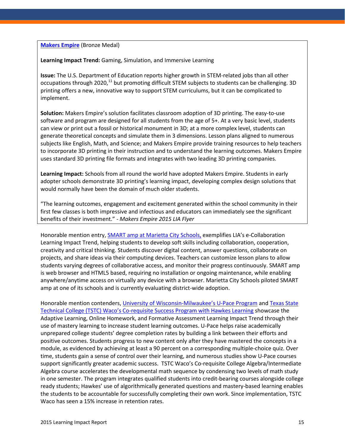**[Makers](https://www.youtube.com/watch?v=crJFtRkCCCo) Empire** (Bronze Medal)

**Learning Impact Trend:** Gaming, Simulation, and Immersive Learning

**Issue:** The U.S. Department of Education reports higher growth in STEM-related jobs than all other occupations through 2020,<sup>[11](#page-30-8)</sup> but promoting difficult STEM subjects to students can be challenging. 3D printing offers a new, innovative way to support STEM curriculums, but it can be complicated to implement.

**Solution:** Makers Empire's solution facilitates classroom adoption of 3D printing. The easy-to-use software and program are designed for all students from the age of 5+. At a very basic level, students can view or print out a fossil or historical monument in 3D; at a more complex level, students can generate theoretical concepts and simulate them in 3 dimensions. Lesson plans aligned to numerous subjects like English, Math, and Science; and Makers Empire provide training resources to help teachers to incorporate 3D printing in their instruction and to understand the learning outcomes. Makers Empire uses standard 3D printing file formats and integrates with two leading 3D printing companies.

**Learning Impact:** Schools from all round the world have adopted Makers Empire. Students in early adopter schools demonstrate 3D printing's learning impact, developing complex design solutions that would normally have been the domain of much older students.

"The learning outcomes, engagement and excitement generated within the school community in their first few classes is both impressive and infectious and educators can immediately see the significant benefits of their investment." *- Makers Empire 2015 LIA Flyer*

Honorable mention entry, [SMART amp at Marietta City Schools,](https://www.youtube.com/watch?v=tdY-UcCqPig) exemplifies LIA's e-Collaboration Learning Impact Trend, helping students to develop soft skills including collaboration, cooperation, creativity and critical thinking. Students discover digital content, answer questions, collaborate on projects, and share ideas via their computing devices. Teachers can customize lesson plans to allow students varying degrees of collaborative access, and monitor their progress continuously. SMART amp is web browser and HTML5 based, requiring no installation or ongoing maintenance, while enabling anywhere/anytime access on virtually any device with a browser. Marietta City Schools piloted SMART amp at one of its schools and is currently evaluating district-wide adoption.

Honorable mention contenders[, University of Wisconsin-Milwaukee's U-Pace Program](https://www.youtube.com/watch?v=xksSbq7p36A) and [Texas State](http://link.brightcove.com/services/player/bcpid1799374646001?bckey=AQ~~,AAAAE2sH_-k~,vce9mL8StXpfr6m6HDn5cLekxP_ErjRA&bctid=4119858042001)  [Technical College \(TSTC\) Waco's Co-requisite Success Program with Hawkes Learning](http://link.brightcove.com/services/player/bcpid1799374646001?bckey=AQ~~,AAAAE2sH_-k~,vce9mL8StXpfr6m6HDn5cLekxP_ErjRA&bctid=4119858042001) showcase the Adaptive Learning, Online Homework, and Formative Assessment Learning Impact Trend through their use of mastery learning to increase student learning outcomes. U-Pace helps raise academically unprepared college students' degree completion rates by building a link between their efforts and positive outcomes. Students progress to new content only after they have mastered the concepts in a module, as evidenced by achieving at least a 90 percent on a corresponding multiple-choice quiz. Over time, students gain a sense of control over their learning, and numerous studies show U-Pace courses support significantly greater academic success. TSTC Waco's Co-requisite College Algebra/Intermediate Algebra course accelerates the developmental math sequence by condensing two levels of math study in one semester. The program integrates qualified students into credit-bearing courses alongside college ready students; Hawkes' use of algorithmically generated questions and mastery-based learning enables the students to be accountable for successfully completing their own work. Since implementation, TSTC Waco has seen a 15% increase in retention rates.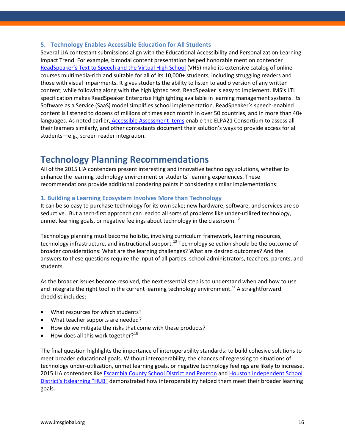#### **5. Technology Enables Accessible Education for All Students**

Several LIA contestant submissions align with the Educational Accessibility and Personalization Learning Impact Trend. For example, bimodal content presentation helped honorable mention contender [ReadSpeaker's Text to Speech and the Virtual High School](https://www.youtube.com/watch?v=NpSggW7SklI&feature=youtu.be) (VHS) make its extensive catalog of online courses multimedia-rich and suitable for all of its 10,000+ students, including struggling readers and those with visual impairments. It gives students the ability to listen to audio version of any written content, while following along with the highlighted text. ReadSpeaker is easy to implement. IMS's LTI specification makes ReadSpeaker Enterprise Highlighting available in learning management systems. Its Software as a Service (SaaS) model simplifies school implementation. ReadSpeaker's speech-enabled content is listened to dozens of millions of times each month in over 50 countries, and in more than 40+ languages. As noted earlier, [Accessible Assessment Items](https://www.youtube.com/watch?v=gntVuFPnl-8&feature=youtu.be) enable the ELPA21 Consortium to assess all their learners similarly, and other contestants document their solution's ways to provide access for all students—e.g., screen reader integration.

### **Technology Planning Recommendations**

All of the 2015 LIA contenders present interesting and innovative technology solutions, whether to enhance the learning technology environment or students' learning experiences. These recommendations provide additional pondering points if considering similar implementations:

#### **1. Building a Learning Ecosystem Involves More than Technology**

It can be so easy to purchase technology for its own sake; new hardware, software, and services are so seductive. But a tech-first approach can lead to all sorts of problems like under-utilized technology, unmet learning goals, or negative feelings about technology in the classroom.<sup>[12](#page-30-9)</sup>

Technology planning must become holistic, involving curriculum framework, learning resources, technology infrastructure, and instructional support.<sup>[13](#page-30-10)</sup> Technology selection should be the outcome of broader considerations: What are the learning challenges? What are desired outcomes? And the answers to these questions require the input of all parties: school administrators, teachers, parents, and students.

As the broader issues become resolved, the next essential step is to understand when and how to use and integrate the right tool in the current learning technology environment.<sup>[14](#page-30-11)</sup> A straightforward checklist includes:

- What resources for which students?
- What teacher supports are needed?
- How do we mitigate the risks that come with these products?
- $\bullet$  How does all this work together?<sup>[15](#page-30-12)</sup>

The final question highlights the importance of interoperability standards: to build cohesive solutions to meet broader educational goals. Without interoperability, the chances of regressing to situations of technology under-utilization, unmet learning goals, or negative technology feelings are likely to increase. 2015 LIA contenders like [Escambia County School District and Pearson](https://www.youtube.com/watch?v=k9W-HSyBkvs&feature=youtu.be) an[d Houston Independent School](https://vimeo.com/121933666)  [District's Itslearning "HUB"](https://vimeo.com/121933666) demonstrated how interoperability helped them meet their broader learning goals.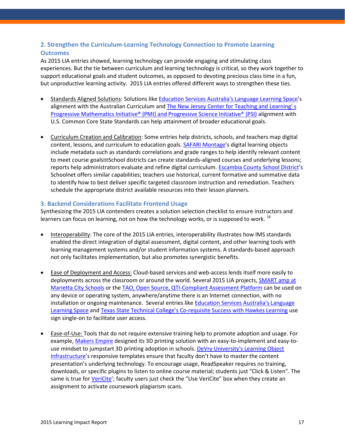#### **2. Strengthen the Curriculum-Learning Technology Connection to Promote Learning Outcomes**

As 2015 LIA entries showed, learning technology can provide engaging and stimulating class experiences. But the tie between curriculum and learning technology is critical, so they work together to support educational goals and student outcomes, as opposed to devoting precious class time in a fun, but unproductive learning activity. 2015 LIA entries offered different ways to strengthen these ties.

- Standards Aligned Solutions: Solutions like [Education Services Australia's Language Learning Space'](https://www.youtube.com/watch?v=35Fuz9G_GdY&feature=youtu.be)s alignment with the Australian Curriculum and [The New Jersey Center for Teaching and Learning' s](https://www.youtube.com/watch?v=LyVsJ_fz03U&feature=youtu.be)  [Progressive Mathematics Initiative® \(PMI\) and Progressive Science Initiative® \(PSI\)](https://www.youtube.com/watch?v=LyVsJ_fz03U&feature=youtu.be) alignment with U.S. Common Core State Standards can help attainment of broader educational goals.
- Curriculum Creation and Calibration: Some entries help districts, schools, and teachers map digital content, lessons, and curriculum to education goals. [SAFARI Montage'](https://www.youtube.com/watch?v=T6dhTEyXqdY&feature=youtu.be)s digital learning objects include metadata such as standards correlations and grade ranges to help identify relevant content to meet course goals<sup>m</sup>School districts can create standards-aligned courses and underlying lessons; reports help administrators evaluate and refine digital curriculum. [Escambia County School District'](https://www.youtube.com/watch?v=k9W-HSyBkvs&feature=youtu.be)s Schoolnet offers similar capabilities; teachers use historical, current formative and summative data to identify how to best deliver specific targeted classroom instruction and remediation. Teachers schedule the appropriate district available resources into their lesson planners.

#### **3. Backend Considerations Facilitate Frontend Usage**

Synthesizing the 2015 LIA contenders creates a solution selection checklist to ensure instructors and learners can focus on learning, not on how the technology works, or is supposed to work.  $^{16}$  $^{16}$  $^{16}$ 

- Interoperability: The core of the 2015 LIA entries, interoperability illustrates how IMS standards enabled the direct integration of digital assessment, digital content, and other learning tools with learning management systems and/or student information systems. A standards-based approach not only facilitates implementation, but also promotes synergistic benefits.
- Ease of Deployment and Access: Cloud-based services and web-access lends itself more easily to deployments across the classroom or around the world. Several 2015 LIA projects, **SMART** amp at [Marietta City Schools](https://www.youtube.com/watch?v=tdY-UcCqPig) or the [TAO, Open Source, QTI-Compliant Assessment Platform](https://www.youtube.com/watch?v=K0jq27SQzWw&feature=youtu.be) can be used on any device or operating system, anywhere/anytime there is an Internet connection, with no installation or ongoing maintenance. Several entries lik[e Education Services Australia's Language](https://www.youtube.com/watch?v=35Fuz9G_GdY&feature=youtu.be)  [Learning Space](https://www.youtube.com/watch?v=35Fuz9G_GdY&feature=youtu.be) and [Texas State Technical College's Co-requisite Success with Hawkes Learning](http://link.brightcove.com/services/player/bcpid1799374646001?bckey=AQ~~,AAAAE2sH_-k~,vce9mL8StXpfr6m6HDn5cLekxP_ErjRA&bctid=4119858042001) use sign single-on to facilitate user access.
- Ease-of-Use: Tools that do not require extensive training help to promote adoption and usage. For example, [Makers Empire](https://www.youtube.com/watch?v=crJFtRkCCCo) designed its 3D printing solution with an easy-to-implement and easy-touse mindset to jumpstart 3D printing adoption in schools. DeVry University's Learning Object [Infrastructure'](https://www.youtube.com/watch?v=hdV1fJik5Uo&feature=youtu.be&list=PLysC4Zd9-FmCLrpNW4dP3RhovGRRpPm95)s responsive templates ensure that faculty don't have to master the content presentation's underlying technology. To encourage usage, ReadSpeaker requires no training, downloads, or specific plugins to listen to online course material; students just "Click & Listen". The same is true for [VeriCite'](https://www.youtube.com/watch?v=Hh4mSVXERMQ&feature=youtu.be); faculty users just check the "Use VeriCite" box when they create an assignment to activate coursework plagiarism scans.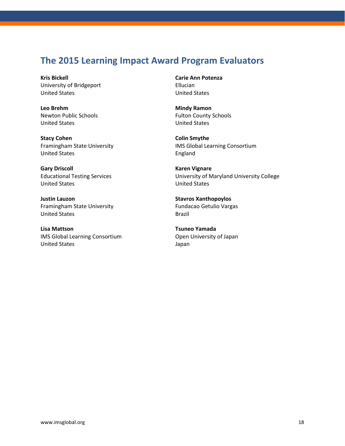### **The 2015 Learning Impact Award Program Evaluators**

**Kris Bickell** University of Bridgeport United States

**Leo Brehm** Newton Public Schools United States

**Stacy Cohen** Framingham State University United States

**Gary Driscoll** Educational Testing Services United States

**Justin Lauzon** Framingham State University United States

**Lisa Mattson** IMS Global Learning Consortium United States

**Carie Ann Potenza** Ellucian United States

**Mindy Ramon** Fulton County Schools United States

**Colin Smythe** IMS Global Learning Consortium England

**Karen Vignare** University of Maryland University College United States

**Stavros Xanthopoylos** Fundacao Getulio Vargas Brazil

**Tsuneo Yamada** Open University of Japan Japan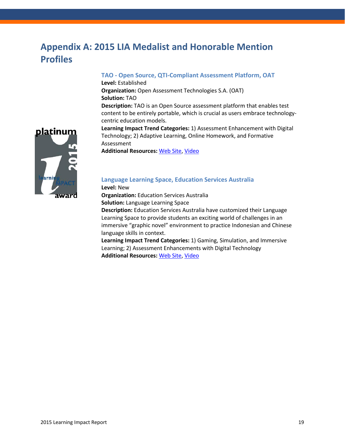### **Appendix A: 2015 LIA Medalist and Honorable Mention Profiles**

#### **TAO - Open Source, QTI-Compliant Assessment Platform, OAT**

**Level:** Established **Organization:** Open Assessment Technologies S.A. (OAT) **Solution:** TAO **Description:** TAO is an Open Source assessment platform that enables test content to be entirely portable, which is crucial as users embrace technologycentric education models.



**Learning Impact Trend Categories:** 1) Assessment Enhancement with Digital Technology; 2) Adaptive Learning, Online Homework, and Formative Assessment

**Additional Resources:** [Web Site,](http://www.taotesting.com/) [Video](https://www.youtube.com/watch?v=K0jq27SQzWw&feature=youtu.be)

#### **Language Learning Space, Education Services Australia**

**Level:** New

**Organization:** Education Services Australia

**Solution:** Language Learning Space

**Description:** Education Services Australia have customized their Language Learning Space to provide students an exciting world of challenges in an immersive "graphic novel" environment to practice Indonesian and Chinese language skills in context.

**Learning Impact Trend Categories:** 1) Gaming, Simulation, and Immersive Learning; 2) Assessment Enhancements with Digital Technology **Additional Resources:** [Web Site,](http://www.esa.edu.au/projects/language-learning-space) [Video](https://www.youtube.com/watch?v=35Fuz9G_GdY&feature=youtu.be)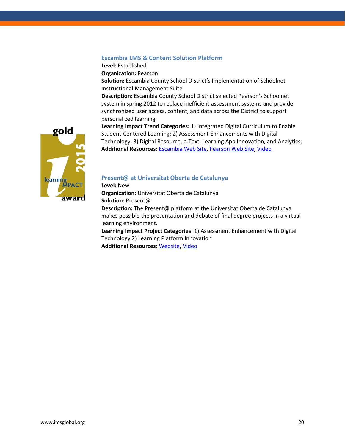#### **Escambia LMS & Content Solution Platform**

**Level:** Established

**Organization:** Pearson

**Solution:** Escambia County School District's Implementation of Schoolnet Instructional Management Suite

**Description:** Escambia County School District selected Pearson's Schoolnet system in spring 2012 to replace inefficient assessment systems and provide synchronized user access, content, and data across the District to support personalized learning.

**Learning Impact Trend Categories:** 1) Integrated Digital Curriculum to Enable Student-Centered Learning; 2) Assessment Enhancements with Digital Technology; 3) Digital Resource, e-Text, Learning App Innovation, and Analytics; **Additional Resources:** [Escambia Web Site,](https://ecsd-fl.schoolloop.com/ims) [Pearson Web Site,](http://www.pearsonschool.com/index.cfm?locator=PS2pWa&PMDBSOLUTIONID=6724&PMDBSITEID=2781&PMDBCATEGORYID=&PMDBSUBSOLUTIONID=&PMDBSUBJECTAREAID=&PMDBSUBCATEGORYID=&PMDbProgramID=106341) [Video](https://www.youtube.com/watch?v=k9W-HSyBkvs&feature=youtu.be)



#### **[Present@ at Universitat Oberta de Catalunya](mailto:Present@%20at%20Universitat%20Oberta%20de%20Catalunya)**

**Level:** New **Organization:** Universitat Oberta de Catalunya **Solution:** Present@ **Description:** The Present@ platform at the Universitat Oberta de Catalunya makes possible the presentation and debate of final degree projects in a virtual learning environment. **Learning Impact Project Categories:** 1) Assessment Enhancement with Digital

Technology 2) Learning Platform Innovation **Additional Resources:** [Website](http://www.uoc.edu/portal/en/)**,** [Video](https://youtu.be/QwjkMnFAyKA)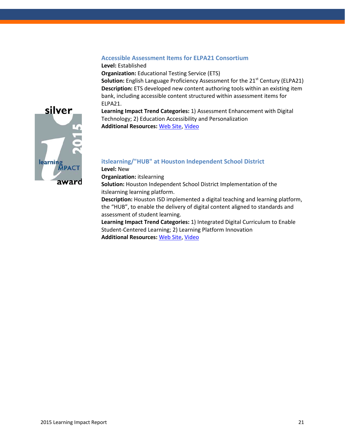#### **Accessible Assessment Items for ELPA21 Consortium**

**Level:** Established **Organization:** Educational Testing Service (ETS)

**Solution:** English Language Proficiency Assessment for the 21<sup>st</sup> Century (ELPA21) **Description:** ETS developed new content authoring tools within an existing item bank, including accessible content structured within assessment items for ELPA21.

**Learning Impact Trend Categories:** 1) Assessment Enhancement with Digital Technology; 2) Education Accessibility and Personalization **Additional Resources:** [Web Site,](http://www.elpa21.org/assessment-system/sample-items) [Video](https://youtu.be/gntVuFPnl-8)



#### **itslearning/"HUB" at Houston Independent School District**

**Level:** New

**Organization:** itslearning

**Solution:** Houston Independent School District Implementation of the itslearning learning platform.

**Description:** Houston ISD implemented a digital teaching and learning platform, the "HUB", to enable the delivery of digital content aligned to standards and assessment of student learning.

**Learning Impact Trend Categories:** 1) Integrated Digital Curriculum to Enable Student-Centered Learning; 2) Learning Platform Innovation  **Additional Resources:** [Web Site,](http://www.houstonisd.org/hubinfo) [Video](https://vimeo.com/121933666)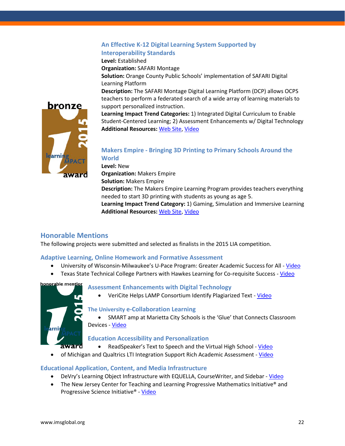#### **An Effective K-12 Digital Learning System Supported by Interoperability Standards**

**Level:** Established

**Organization:** SAFARI Montage

**Solution:** Orange County Public Schools' implementation of SAFARI Digital Learning Platform

**Description:** The SAFARI Montage Digital Learning Platform (DCP) allows OCPS teachers to perform a federated search of a wide array of learning materials to support personalized instruction.

**Learning Impact Trend Categories:** 1) Integrated Digital Curriculum to Enable Student-Centered Learning; 2) Assessment Enhancements w/ Digital Technology **Additional Resources:** [Web Site,](http://www.safarimontage.com/solutions/digital-learning-platform.aspx) [Video](https://www.youtube.com/watch?v=T6dhTEyXqdY&feature=youtu.be)



#### **Makers Empire - Bringing 3D Printing to Primary Schools Around the World**

**Level:** New

**Organization:** Makers Empire

**Solution:** Makers Empire

**Description:** The Makers Empire Learning Program provides teachers everything needed to start 3D printing with students as young as age 5.

**Learning Impact Trend Category:** 1) Gaming, Simulation and Immersive Learning **Additional Resources:** [Web Site,](https://www.makersempire.com/) [Video](https://www.youtube.com/watch?v=crJFtRkCCCo)

#### **Honorable Mentions**

The following projects were submitted and selected as finalists in the 2015 LIA competition.

#### **Adaptive Learning, Online Homework and Formative Assessment**

- University of Wisconsin-Milwaukee's U-Pace Program: Greater Academic Success for All [Video](https://www.youtube.com/watch?v=xksSbq7p36A)
- Texas State Technical College Partners with Hawkes Learning for Co-requisite Success [Video](http://link.brightcove.com/services/player/bcpid1799374646001?bckey=AQ~~,AAAAE2sH_-k~,vce9mL8StXpfr6m6HDn5cLekxP_ErjRA&bctid=4119858042001)



#### **Assessment Enhancements with Digital Technology**

• VeriCite Helps LAMP Consortium Identify Plagiarized Text - [Video](https://www.youtube.com/watch?v=Hh4mSVXERMQ&feature=youtu.be)

#### **The University e-Collaboration Learning**

• SMART amp at Marietta City Schools is the 'Glue' that Connects Classroom Devices - [Video](https://www.youtube.com/watch?v=tdY-UcCqPig)

#### **Education Accessibility and Personalization**

- ReadSpeaker's Text to Speech and the Virtual High School [Video](https://www.youtube.com/watch?v=NpSggW7SklI&feature=youtu.be)
- of Michigan and Qualtrics LTI Integration Support Rich Academic Assessment [Video](https://www.youtube.com/watch?v=xDmE2YM9_Yo&feature=youtu.be)

#### **Educational Application, Content, and Media Infrastructure**

- DeVry's Learning Object Infrastructure with EQUELLA, CourseWriter, and Sidebar [Video](https://www.youtube.com/watch?v=hdV1fJik5Uo&feature=youtu.be&list=PLysC4Zd9-FmCLrpNW4dP3RhovGRRpPm95)
- The New Jersey Center for Teaching and Learning Progressive Mathematics Initiative® and Progressive Science Initiative® - [Video](https://www.youtube.com/watch?v=LyVsJ_fz03U&feature=youtu.be)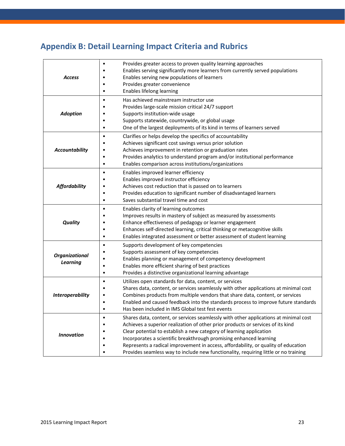# **Appendix B: Detail Learning Impact Criteria and Rubrics**

| <b>Access</b>                            | Provides greater access to proven quality learning approaches<br>$\bullet$<br>Enables serving significantly more learners from currently served populations<br>Enables serving new populations of learners<br>Provides greater convenience<br>Enables lifelong learning<br>٠                                                                                                                                                                                                                                        |
|------------------------------------------|---------------------------------------------------------------------------------------------------------------------------------------------------------------------------------------------------------------------------------------------------------------------------------------------------------------------------------------------------------------------------------------------------------------------------------------------------------------------------------------------------------------------|
| <b>Adoption</b>                          | Has achieved mainstream instructor use<br>$\bullet$<br>Provides large-scale mission critical 24/7 support<br>Supports institution-wide usage<br>Supports statewide, countrywide, or global usage<br>One of the largest deployments of its kind in terms of learners served                                                                                                                                                                                                                                          |
| <b>Accountability</b>                    | Clarifies or helps develop the specifics of accountability<br>٠<br>Achieves significant cost savings versus prior solution<br>Achieves improvement in retention or graduation rates<br>Provides analytics to understand program and/or institutional performance<br>Enables comparison across institutions/organizations                                                                                                                                                                                            |
| <b>Affordability</b>                     | Enables improved learner efficiency<br>٠<br>Enables improved instructor efficiency<br>Achieves cost reduction that is passed on to learners<br>Provides education to significant number of disadvantaged learners<br>Saves substantial travel time and cost<br>٠                                                                                                                                                                                                                                                    |
| <b>Quality</b>                           | Enables clarity of learning outcomes<br>$\bullet$<br>Improves results in mastery of subject as measured by assessments<br>Enhance effectiveness of pedagogy or learner engagement<br>Enhances self-directed learning, critical thinking or metacognitive skills<br>Enables integrated assessment or better assessment of student learning<br>٠                                                                                                                                                                      |
| <b>Organizational</b><br><b>Learning</b> | Supports development of key competencies<br>٠<br>Supports assessment of key competencies<br>Enables planning or management of competency development<br>Enables more efficient sharing of best practices<br>Provides a distinctive organizational learning advantage                                                                                                                                                                                                                                                |
| <b>Interoperability</b>                  | Utilizes open standards for data, content, or services<br>$\bullet$<br>Shares data, content, or services seamlessly with other applications at minimal cost<br>Combines products from multiple vendors that share data, content, or services<br>Enabled and caused feedback into the standards process to improve future standards<br>Has been included in IMS Global test fest events                                                                                                                              |
| <b>Innovation</b>                        | Shares data, content, or services seamlessly with other applications at minimal cost<br>$\bullet$<br>Achieves a superior realization of other prior products or services of its kind<br>Clear potential to establish a new category of learning application<br>Incorporates a scientific breakthrough promising enhanced learning<br>Represents a radical improvement in access, affordability, or quality of education<br>Provides seamless way to include new functionality, requiring little or no training<br>٠ |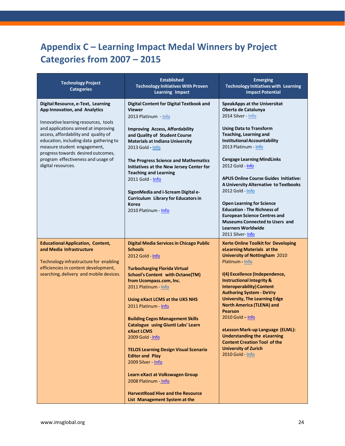## **Appendix C – Learning Impact Medal Winners by Project Categories from 2007 – 2015**

| <b>Technology Project</b><br><b>Categories</b>                                                                                                                                                                                                                                                                                                                        | <b>Established</b><br><b>Technology Initiatives With Proven</b><br><b>Learning Impact</b>                                                                                                                                                                                                                                                                                                                                                                                                                                                                                                                                                         | <b>Emerging</b><br><b>Technology Initiatives with Learning</b><br><b>Impact Potential</b>                                                                                                                                                                                                                                                                                                                                                                                                                                                                                                           |
|-----------------------------------------------------------------------------------------------------------------------------------------------------------------------------------------------------------------------------------------------------------------------------------------------------------------------------------------------------------------------|---------------------------------------------------------------------------------------------------------------------------------------------------------------------------------------------------------------------------------------------------------------------------------------------------------------------------------------------------------------------------------------------------------------------------------------------------------------------------------------------------------------------------------------------------------------------------------------------------------------------------------------------------|-----------------------------------------------------------------------------------------------------------------------------------------------------------------------------------------------------------------------------------------------------------------------------------------------------------------------------------------------------------------------------------------------------------------------------------------------------------------------------------------------------------------------------------------------------------------------------------------------------|
| Digital Resource, e-Text, Learning<br>App Innovation, and Analytics<br>Innovative learning resources, tools<br>and applications aimed at improving<br>access, affordability and quality of<br>education, including data gathering to<br>measure student engagement,<br>progress towards desired outcomes,<br>program effectiveness and usage of<br>digital resources. | <b>Digital Content for Digital Textbook and</b><br><b>Viewer</b><br>2013 Platinum - Info<br><b>Improving Access, Affordability</b><br>and Quality of Student Course<br><b>Materials at Indiana University</b><br>2013 Gold - Info<br>The Progress Science and Mathematics<br>Initiatives at the New Jersey Center for<br><b>Teaching and Learning</b><br>2011 Gold - Info<br>SigonMedia and i-Scream Digital e-<br><b>Curriculum Library for Educators in</b><br><b>Korea</b><br>2010 Platinum - Info                                                                                                                                             | <b>SpeakApps at the Universitat</b><br>Oberta de Catalunya<br>2014 Silver - Info<br><b>Using Data to Transform</b><br><b>Teaching, Learning and</b><br><b>Institutional Accountability</b><br>2013 Platinum - Info<br><b>Cengage Learning MindLinks</b><br>2012 Gold - Info<br><b>APUS Online Course Guides Initiative:</b><br>A University Alternative to Textbooks<br>2012 Gold - Info<br><b>Open Learning for Science</b><br><b>Education - The Richness of</b><br><b>European Science Centres and</b><br><b>Museums Connected to Users and</b><br><b>Learners Worldwide</b><br>2011 Silver-Info |
| <b>Educational Application, Content,</b><br>and Media Infrastructure<br>Technology infrastructure for enabling<br>efficiencies in content development,<br>searching, delivery and mobile devices.                                                                                                                                                                     | <b>Digital Media Services in Chicago Public</b><br><b>Schools</b><br>2012 Gold - Info<br><b>Turbocharging Florida Virtual</b><br><b>School's Content with Octane(TM)</b><br>from Ucompass.com, Inc.<br>2011 Platinum - Info<br>Using eXact LCMS at the UKS NHS<br>2011 Platinum - Info<br><b>Building Cegos Management Skills</b><br>Catalogue using Giunti Labs' Learn<br>eXact LCMS<br>2009 Gold - Info<br><b>TELOS Learning Design Visual Scenario</b><br><b>Editor and Play</b><br>2009 Silver - Info<br>Learn eXact at Volkswagen Group<br>2008 Platinum - Info<br><b>HarvestRoad Hive and the Resource</b><br>List Management System at the | <b>Xerte Online Toolkit for Developing</b><br>eLearning Materials at the<br><b>University of Nottingham 2010</b><br>Platinum - Info<br>I(4) Excellence (Independence,<br><b>Instructional Integrity &amp;</b><br><b>Interoperability) Content</b><br><b>Authoring System - DeVry</b><br><b>University, The Learning Edge</b><br><b>North America (TLENA) and</b><br><b>Pearson</b><br>$2010$ Gold - Info<br>eLesson Mark-up Language (ELML):<br><b>Understanding the eLearning</b><br><b>Content Creation Tool of the</b><br><b>University of Zurich</b><br>2010 Gold - Info                        |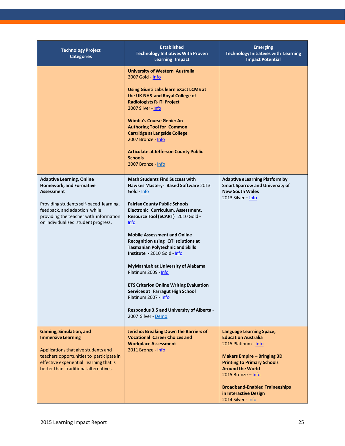| <b>Technology Project</b><br><b>Categories</b>                                                                                                                                                                                                      | <b>Established</b><br><b>Technology Initiatives With Proven</b><br><b>Learning Impact</b>                                                                                                                                                                                                                                                                                                                                                                                                                                                                                                                                             | <b>Emerging</b><br><b>Technology Initiatives with Learning</b><br><b>Impact Potential</b>                                                                                                                                                                                                                    |
|-----------------------------------------------------------------------------------------------------------------------------------------------------------------------------------------------------------------------------------------------------|---------------------------------------------------------------------------------------------------------------------------------------------------------------------------------------------------------------------------------------------------------------------------------------------------------------------------------------------------------------------------------------------------------------------------------------------------------------------------------------------------------------------------------------------------------------------------------------------------------------------------------------|--------------------------------------------------------------------------------------------------------------------------------------------------------------------------------------------------------------------------------------------------------------------------------------------------------------|
|                                                                                                                                                                                                                                                     | <b>University of Western Australia</b><br>2007 Gold - Info<br><b>Using Giunti Labs learn eXact LCMS at</b><br>the UK NHS and Royal College of<br><b>Radiologists R-ITI Project</b><br>2007 Silver - Info<br><b>Wimba's Course Genie: An</b><br><b>Authoring Tool for Common</b><br><b>Cartridge at Langside College</b><br>2007 Bronze - Info<br><b>Articulate at Jefferson County Public</b><br><b>Schools</b><br>2007 Bronze - Info                                                                                                                                                                                                 |                                                                                                                                                                                                                                                                                                              |
| <b>Adaptive Learning, Online</b><br><b>Homework, and Formative</b><br><b>Assessment</b><br>Providing students self-paced learning,<br>feedback, and adaption while<br>providing the teacher with information<br>on individualized student progress. | <b>Math Students Find Success with</b><br>Hawkes Mastery- Based Software 2013<br>Gold - Info<br><b>Fairfax County Public Schools</b><br>Electronic Curriculum, Assessment,<br>Resource Tool (eCART) 2010 Gold -<br><b>Info</b><br><b>Mobile Assessment and Online</b><br>Recognition using QTI solutions at<br><b>Tasmanian Polytechnic and Skills</b><br>Institute - 2010 Gold - Info<br>MyMathLab at University of Alabama<br>Platinum 2009 - Info<br><b>ETS Criterion Online Writing Evaluation</b><br>Services at Farragut High School<br>Platinum 2007 - Info<br>Respondus 3.5 and University of Alberta -<br>2007 Silver - Demo | <b>Adaptive eLearning Platform by</b><br><b>Smart Sparrow and University of</b><br><b>New South Wales</b><br>2013 Silver - Info                                                                                                                                                                              |
| <b>Gaming, Simulation, and</b><br><b>Immersive Learning</b><br>Applications that give students and<br>teachers opportunities to participate in<br>effective experiential learning that is<br>better than traditional alternatives.                  | Jericho: Breaking Down the Barriers of<br><b>Vocational Career Choices and</b><br><b>Workplace Assessment</b><br>2011 Bronze - Info                                                                                                                                                                                                                                                                                                                                                                                                                                                                                                   | <b>Language Learning Space,</b><br><b>Education Australia</b><br>2015 Platinum - Info<br><b>Makers Empire - Bringing 3D</b><br><b>Printing to Primary Schools</b><br><b>Around the World</b><br>2015 Bronze $-$ Info<br><b>Broadband-Enabled Traineeships</b><br>in Interactive Design<br>2014 Silver - Info |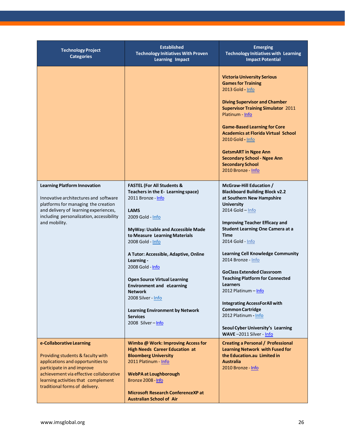| <b>Technology Project</b><br><b>Categories</b>                                                                                                                                                                                                       | <b>Established</b><br><b>Technology Initiatives With Proven</b><br><b>Learning Impact</b>                                                                                                                                                                                                                                                                                                                                                                                                                     | <b>Emerging</b><br><b>Technology Initiatives with Learning</b><br><b>Impact Potential</b>                                                                                                                                                                                                                                                                                                                                                                                                                                                                                                                            |
|------------------------------------------------------------------------------------------------------------------------------------------------------------------------------------------------------------------------------------------------------|---------------------------------------------------------------------------------------------------------------------------------------------------------------------------------------------------------------------------------------------------------------------------------------------------------------------------------------------------------------------------------------------------------------------------------------------------------------------------------------------------------------|----------------------------------------------------------------------------------------------------------------------------------------------------------------------------------------------------------------------------------------------------------------------------------------------------------------------------------------------------------------------------------------------------------------------------------------------------------------------------------------------------------------------------------------------------------------------------------------------------------------------|
|                                                                                                                                                                                                                                                      |                                                                                                                                                                                                                                                                                                                                                                                                                                                                                                               | <b>Victoria University Serious</b><br><b>Games for Training</b><br>2013 Gold - Info<br><b>Diving Supervisor and Chamber</b><br><b>Supervisor Training Simulator 2011</b><br>Platinum - Info<br><b>Game-Based Learning for Core</b><br><b>Academics at Florida Virtual School</b><br>2010 Gold - Info<br><b>GetsmART in Ngee Ann</b><br><b>Secondary School - Ngee Ann</b><br><b>Secondary School</b><br>2010 Bronze - Info                                                                                                                                                                                           |
| <b>Learning Platform Innovation</b><br>Innovative architectures and software<br>platforms for managing the creation<br>and delivery of learning experiences,<br>including personalization, accessibility<br>and mobility.                            | <b>FASTEL (For All Students &amp;</b><br>Teachers in the E- Learning space)<br>2011 Bronze - Info<br><b>LAMS</b><br>2009 Gold - Info<br>MyWay: Usable and Accessible Made<br>to Measure Learning Materials<br>2008 Gold - Info<br>A Tutor: Accessible, Adaptive, Online<br>Learning -<br>2008 Gold - Info<br><b>Open Source Virtual Learning</b><br><b>Environment and eLearning</b><br><b>Network</b><br>2008 Silver - Info<br><b>Learning Environment by Network</b><br><b>Services</b><br>2008 Silver-Info | McGraw-Hill Education /<br><b>Blackboard Building Block v2.2</b><br>at Southern New Hampshire<br><b>University</b><br>2014 Gold - Info<br><b>Improving Teacher Efficacy and</b><br><b>Student Learning One Camera at a</b><br><b>Time</b><br>2014 Gold - Info<br><b>Learning Cell Knowledge Community</b><br>2014 Bronze - Info<br><b>GoClass Extended Classroom</b><br><b>Teaching Platform for Connected</b><br><b>Learners</b><br>2012 Platinum – Info<br><b>Integrating AccessForAll with</b><br><b>Common Cartridge</b><br>2012 Platinum - Info<br>Seoul Cyber University's Learning<br>WAVE-2011 Silver - Info |
| e-Collaborative Learning<br>Providing students & faculty with<br>applications and opportunities to<br>participate in and improve<br>achievement via effective collaborative<br>learning activities that complement<br>traditional forms of delivery. | Wimba @ Work: Improving Access for<br><b>High Needs Career Education at</b><br><b>Bloomberg University</b><br>2011 Platinum - Info<br><b>WebPA at Loughborough</b><br>Bronze 2008 - Info<br><b>Microsoft Research ConferenceXP at</b><br><b>Australian School of Air</b>                                                                                                                                                                                                                                      | <b>Creating a Personal / Professional</b><br><b>Learning Network with Fused for</b><br>the Education.au Limited in<br><b>Australia</b><br>2010 Bronze - Info                                                                                                                                                                                                                                                                                                                                                                                                                                                         |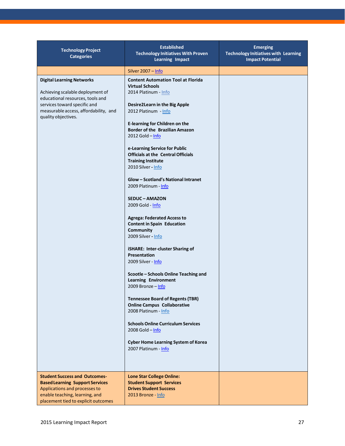| <b>Technology Project</b><br><b>Categories</b>                                                                                                                                                           | <b>Established</b><br><b>Technology Initiatives With Proven</b><br><b>Learning Impact</b>                                                                                                                                                                                                                                                                                                                                                                                                                                                                                                                                                                                                                                                                                                                                                                                                                                                                                                                                                              | <b>Emerging</b><br><b>Technology Initiatives with Learning</b><br><b>Impact Potential</b> |
|----------------------------------------------------------------------------------------------------------------------------------------------------------------------------------------------------------|--------------------------------------------------------------------------------------------------------------------------------------------------------------------------------------------------------------------------------------------------------------------------------------------------------------------------------------------------------------------------------------------------------------------------------------------------------------------------------------------------------------------------------------------------------------------------------------------------------------------------------------------------------------------------------------------------------------------------------------------------------------------------------------------------------------------------------------------------------------------------------------------------------------------------------------------------------------------------------------------------------------------------------------------------------|-------------------------------------------------------------------------------------------|
|                                                                                                                                                                                                          | Silver 2007 - Info                                                                                                                                                                                                                                                                                                                                                                                                                                                                                                                                                                                                                                                                                                                                                                                                                                                                                                                                                                                                                                     |                                                                                           |
| <b>Digital Learning Networks</b><br>Achieving scalable deployment of<br>educational resources, tools and<br>services toward specific and<br>measurable access, affordability, and<br>quality objectives. | <b>Content Automation Tool at Florida</b><br><b>Virtual Schools</b><br>2014 Platinum - Info<br><b>Desire2Learn in the Big Apple</b><br>2012 Platinum - Info<br><b>E-learning for Children on the</b><br><b>Border of the Brazilian Amazon</b><br>$2012$ Gold - Info<br>e-Learning Service for Public<br><b>Officials at the Central Officials</b><br><b>Training Institute</b><br>2010 Silver - Info<br>Glow - Scotland's National Intranet<br>2009 Platinum - Info<br><b>SEDUC - AMAZON</b><br>2009 Gold - Info<br><b>Agrega: Federated Access to</b><br><b>Content in Spain Education</b><br>Community<br>2009 Silver - Info<br>iSHARE: Inter-cluster Sharing of<br>Presentation<br>2009 Silver - Info<br>Scootle – Schools Online Teaching and<br><b>Learning Environment</b><br>2009 Bronze - Info<br><b>Tennessee Board of Regents (TBR)</b><br><b>Online Campus Collaborative</b><br>2008 Platinum - Info<br><b>Schools Online Curriculum Services</b><br>2008 Gold - Info<br><b>Cyber Home Learning System of Korea</b><br>2007 Platinum - Info |                                                                                           |
| <b>Student Success and Outcomes-</b><br><b>Based Learning Support Services</b><br>Applications and processes to<br>enable teaching, learning, and<br>placement tied to explicit outcomes                 | <b>Lone Star College Online:</b><br><b>Student Support Services</b><br><b>Drives Student Success</b><br>2013 Bronze - Info                                                                                                                                                                                                                                                                                                                                                                                                                                                                                                                                                                                                                                                                                                                                                                                                                                                                                                                             |                                                                                           |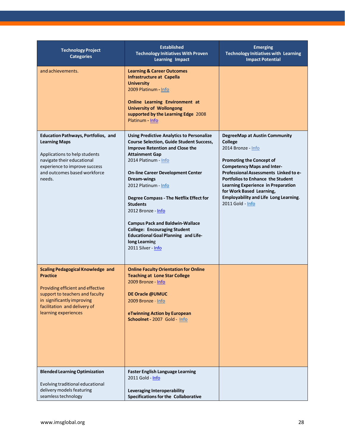| <b>Technology Project</b><br><b>Categories</b>                                                                                                                                                                            | <b>Established</b><br><b>Technology Initiatives With Proven</b><br><b>Learning Impact</b>                                                                                                                                                                                                                                                                                                                                                                                                                                                                 | <b>Emerging</b><br><b>Technology Initiatives with Learning</b><br><b>Impact Potential</b>                                                                                                                                                                                                                                                                                |
|---------------------------------------------------------------------------------------------------------------------------------------------------------------------------------------------------------------------------|-----------------------------------------------------------------------------------------------------------------------------------------------------------------------------------------------------------------------------------------------------------------------------------------------------------------------------------------------------------------------------------------------------------------------------------------------------------------------------------------------------------------------------------------------------------|--------------------------------------------------------------------------------------------------------------------------------------------------------------------------------------------------------------------------------------------------------------------------------------------------------------------------------------------------------------------------|
| and achievements.                                                                                                                                                                                                         | <b>Learning &amp; Career Outcomes</b><br><b>Infrastructure at Capella</b><br><b>University</b><br>2009 Platinum - Info<br><b>Online Learning Environment at</b><br><b>University of Wollongong</b><br>supported by the Learning Edge 2008<br>Platinum - Info                                                                                                                                                                                                                                                                                              |                                                                                                                                                                                                                                                                                                                                                                          |
| <b>Education Pathways, Portfolios, and</b><br><b>Learning Maps</b><br>Applications to help students<br>navigate their educational<br>experience to improve success<br>and outcomes based workforce<br>needs.              | <b>Using Predictive Analytics to Personalize</b><br><b>Course Selection, Guide Student Success,</b><br><b>Improve Retention and Close the</b><br><b>Attainment Gap</b><br>2014 Platinum - Info<br><b>On-line Career Development Center</b><br><b>Dream-wings</b><br>2012 Platinum - Info<br><b>Degree Compass - The Netflix Effect for</b><br><b>Students</b><br>2012 Bronze - Info<br><b>Campus Pack and Baldwin-Wallace</b><br><b>College: Encouraging Student</b><br><b>Educational Goal Planning and Life-</b><br>long Learning<br>2011 Silver - Info | DegreeMap at Austin Community<br>College<br>2014 Bronze - Info<br><b>Promoting the Concept of</b><br><b>Competency Maps and Inter-</b><br>Professional Assessments Linked to e-<br><b>Portfolios to Enhance the Student</b><br><b>Learning Experience in Preparation</b><br>for Work Based Learning,<br><b>Employability and Life Long Learning.</b><br>2011 Gold - Info |
| <b>Scaling Pedagogical Knowledge and</b><br><b>Practice</b><br>Providing efficient and effective<br>support to teachers and faculty<br>in significantly improving<br>facilitation and delivery of<br>learning experiences | <b>Online Faculty Orientation for Online</b><br><b>Teaching at Lone Star College</b><br>2009 Bronze - Info<br>DE Oracle @UMUC<br>2009 Bronze - Info<br>eTwinning Action by European<br>Schoolnet - 2007 Gold - Info                                                                                                                                                                                                                                                                                                                                       |                                                                                                                                                                                                                                                                                                                                                                          |
| <b>Blended Learning Optimization</b><br>Evolving traditional educational<br>delivery models featuring<br>seamless technology                                                                                              | <b>Faster English Language Learning</b><br>2011 Gold - Info<br>Leveraging Interoperability<br>Specifications for the Collaborative                                                                                                                                                                                                                                                                                                                                                                                                                        |                                                                                                                                                                                                                                                                                                                                                                          |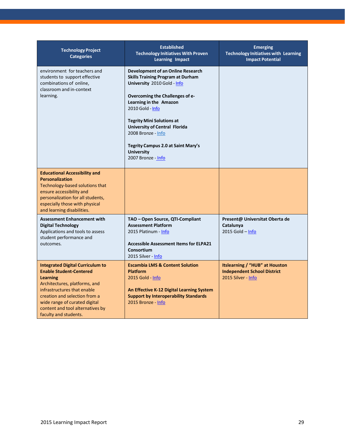| <b>Technology Project</b><br><b>Categories</b>                                                                                                                                                                                                                                              | <b>Established</b><br><b>Technology Initiatives With Proven</b><br><b>Learning Impact</b>                                                                                                                                                                                                                                                                                        | <b>Emerging</b><br><b>Technology Initiatives with Learning</b><br><b>Impact Potential</b>         |
|---------------------------------------------------------------------------------------------------------------------------------------------------------------------------------------------------------------------------------------------------------------------------------------------|----------------------------------------------------------------------------------------------------------------------------------------------------------------------------------------------------------------------------------------------------------------------------------------------------------------------------------------------------------------------------------|---------------------------------------------------------------------------------------------------|
| environment for teachers and<br>students to support effective<br>combinations of online,<br>classroom and in-context<br>learning.                                                                                                                                                           | Development of an Online Research<br><b>Skills Training Program at Durham</b><br>University 2010 Gold - Info<br>Overcoming the Challenges of e-<br>Learning in the Amazon<br>2010 Gold - Info<br><b>Tegrity Mini Solutions at</b><br><b>University of Central Florida</b><br>2008 Bronze - Info<br>Tegrity Campus 2.0 at Saint Mary's<br><b>University</b><br>2007 Bronze - Info |                                                                                                   |
| <b>Educational Accessibility and</b><br><b>Personalization</b><br>Technology-based solutions that<br>ensure accessibility and<br>personalization for all students,<br>especially those with physical<br>and learning disabilities.                                                          |                                                                                                                                                                                                                                                                                                                                                                                  |                                                                                                   |
| <b>Assessment Enhancement with</b><br><b>Digital Technology</b><br>Applications and tools to assess<br>student performance and<br>outcomes.                                                                                                                                                 | TAO - Open Source, QTI-Compliant<br><b>Assessment Platform</b><br>2015 Platinum - Info<br><b>Accessible Assessment Items for ELPA21</b><br>Consortium<br>2015 Silver - Info                                                                                                                                                                                                      | Present@ Universitat Oberta de<br>Catalunya<br>$2015$ Gold - Info                                 |
| <b>Integrated Digital Curriculum to</b><br><b>Enable Student-Centered</b><br><b>Learning</b><br>Architectures, platforms, and<br>infrastructures that enable<br>creation and selection from a<br>wide range of curated digital<br>content and tool alternatives by<br>faculty and students. | <b>Escambia LMS &amp; Content Solution</b><br><b>Platform</b><br>2015 Gold - Info<br>An Effective K-12 Digital Learning System<br><b>Support by Interoperability Standards</b><br>2015 Bronze - Info                                                                                                                                                                             | <b>Itslearning / "HUB" at Houston</b><br><b>Independent School District</b><br>2015 Silver - Info |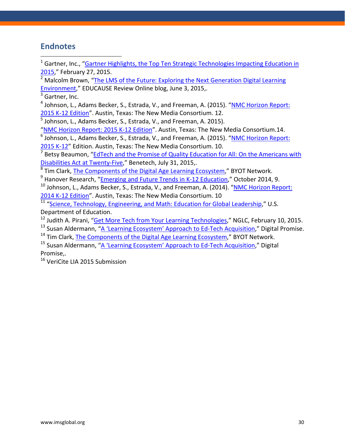### **Endnotes**

<span id="page-29-0"></span> $1$  Gartner, Inc., "Gartner Highlights, the Top Ten Strategic Technologies Impacting Education in [2015,](http://www.gartner.com/newsroom/id/2994417)" February 27, 2015.

<span id="page-29-1"></span><sup>2</sup> Malcolm Brown, "The LMS of the Future: Exploring the Next Generation Digital Learning [Environment,](http://er.educause.edu/blogs/2015/6/the-lms-of-the-future-exploring-the-next-generation-digital-learning-environment)" EDUCAUSE Review Online blog, June 3, 2015,.

 $3$  Gartner, Inc.

<sup>4</sup> Johnson, L., Adams Becker, S., Estrada, V., and Freeman, A. (2015). "NMC Horizon Report: [2015 K-12 Edition"](http://cdn.nmc.org/media/2015-nmc-horizon-report-k12-EN.pdf). Austin, Texas: The New Media Consortium. 12.

<sup>5</sup> Johnson, L., Adams Becker, S., Estrada, V., and Freeman, A. 2015).

["NMC Horizon Report: 2015 K-12 Edition"](http://cdn.nmc.org/media/2015-nmc-horizon-report-k12-EN.pdf). Austin, Texas: The New Media Consortium.14.

 $6$  Johnson, L., Adams Becker, S., Estrada, V., and Freeman, A. (2015). "NMC Horizon Report: [2015 K-12"](http://cdn.nmc.org/media/2015-nmc-horizon-report-k12-EN.pdf) Edition. Austin, Texas: The New Media Consortium. 10.

<sup>7</sup> Betsy Beaumon, "EdTech and the Promise of Quality Education for All: On the Americans with [Disabilities Act at Twenty-Five,](http://benetech.org/2015/07/31/edtech-and-the-promise-of-quality-education-for-all-on-the-americans-with-disabilities-act-at-twenty-five/)" Benetech, July 31, 2015,.

<sup>8</sup> Tim Clark, [The Components of the Digital Age Learning Ecosystem,](http://byotnetwork.com/2014/07/06/the-components-of-a-digital-age-learning-ecosystem/)" BYOT Network.

<sup>9</sup> Hanover Research, ["Emerging and Future Trends in K-12 Education,](http://www.hanoverresearch.com/media/Emerging-and-Future-Trends-in-K-12-Education-1.pdf)" October 2014, 9.

 $10$  Johnson, L., Adams Becker, S., Estrada, V., and Freeman, A. (2014). "NMC Horizon Report: [2014 K-12 Edition"](http://cdn.nmc.org/media/2014-nmc-horizon-report-k12-EN.pdf). Austin, Texas: The New Media Consortium. 10

11 ["Science, Technology, Engineering, and Math: Education for Global Leadership,](http://www.ed.gov/stem)" U.S. Department of Education.

- <sup>12</sup> Judith A. Pirani, ["Get More Tech from Your Learning Technologies,](http://nextgenlearning.org/blog/get-more-%E2%80%9Ctech%E2%80%9D-your-learning-technologies)" NGLC, February 10, 2015.
- <sup>13</sup> Susan Aldermann, ["A 'Learning Ecosystem' Approach to Ed-Tech Acquisition,](http://www.digitalpromise.org/blog/entry/a-learning-ecosystem-approach-to-ed-tech-acquisition)" Digital Promise.

 $14$  Tim Clark, The [Components of the Digital Age Learning Ecosystem,](http://byotnetwork.com/2014/07/06/the-components-of-a-digital-age-learning-ecosystem/)" BYOT Network.

<sup>15</sup> Susan Aldermann, ["A 'Learning Ecosystem' Approach to Ed-Tech Acquisition,](http://www.digitalpromise.org/blog/entry/a-learning-ecosystem-approach-to-ed-tech-acquisition)" Digital Promise,.

<sup>16</sup> VeriCite LIA 2015 Submission